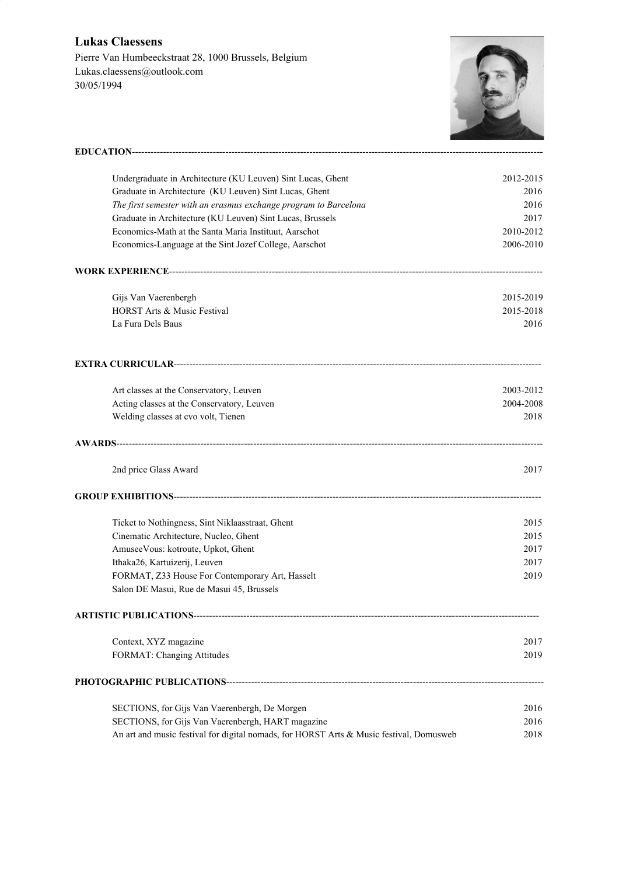## **Lukas Claessens** Pierre Van Humbeeckstraat 28, 1000 Brussels, Belgium Lukas.claessens@outlook.com 30/05/1994



| Undergraduate in Architecture (KU Leuven) Sint Lucas, Ghent                             | 2012-2015 |
|-----------------------------------------------------------------------------------------|-----------|
| Graduate in Architecture (KU Leuven) Sint Lucas, Ghent                                  | 2016      |
| The first semester with an erasmus exchange program to Barcelona                        | 2016      |
| Graduate in Architecture (KU Leuven) Sint Lucas, Brussels                               | 2017      |
| Economics-Math at the Santa Maria Instituut, Aarschot                                   | 2010-2012 |
| Economics-Language at the Sint Jozef College, Aarschot                                  | 2006-2010 |
|                                                                                         |           |
|                                                                                         |           |
| Gijs Van Vaerenbergh                                                                    | 2015-2019 |
| HORST Arts & Music Festival                                                             | 2015-2018 |
| La Fura Dels Baus                                                                       | 2016      |
|                                                                                         |           |
| Art classes at the Conservatory, Leuven                                                 | 2003-2012 |
| Acting classes at the Conservatory, Leuven                                              | 2004-2008 |
| Welding classes at cvo volt, Tienen                                                     | 2018      |
|                                                                                         |           |
| 2nd price Glass Award                                                                   | 2017      |
|                                                                                         |           |
| Ticket to Nothingness, Sint Niklaasstraat, Ghent                                        | 2015      |
| Cinematic Architecture, Nucleo, Ghent                                                   | 2015      |
| AmuseeVous: kotroute, Upkot, Ghent                                                      | 2017      |
| Ithaka26, Kartuizerij, Leuven                                                           | 2017      |
| FORMAT, Z33 House For Contemporary Art, Hasselt                                         | 2019      |
| Salon DE Masui, Rue de Masui 45, Brussels                                               |           |
| ARTISTIC PUBLICATIONS---------------                                                    |           |
| Context, XYZ magazine                                                                   | 2017      |
| FORMAT: Changing Attitudes                                                              | 2019      |
|                                                                                         |           |
| SECTIONS, for Gijs Van Vaerenbergh, De Morgen                                           | 2016      |
| SECTIONS, for Gijs Van Vaerenbergh, HART magazine                                       | 2016      |
| An art and music festival for digital nomads, for HORST Arts & Music festival, Domusweb | 2018      |